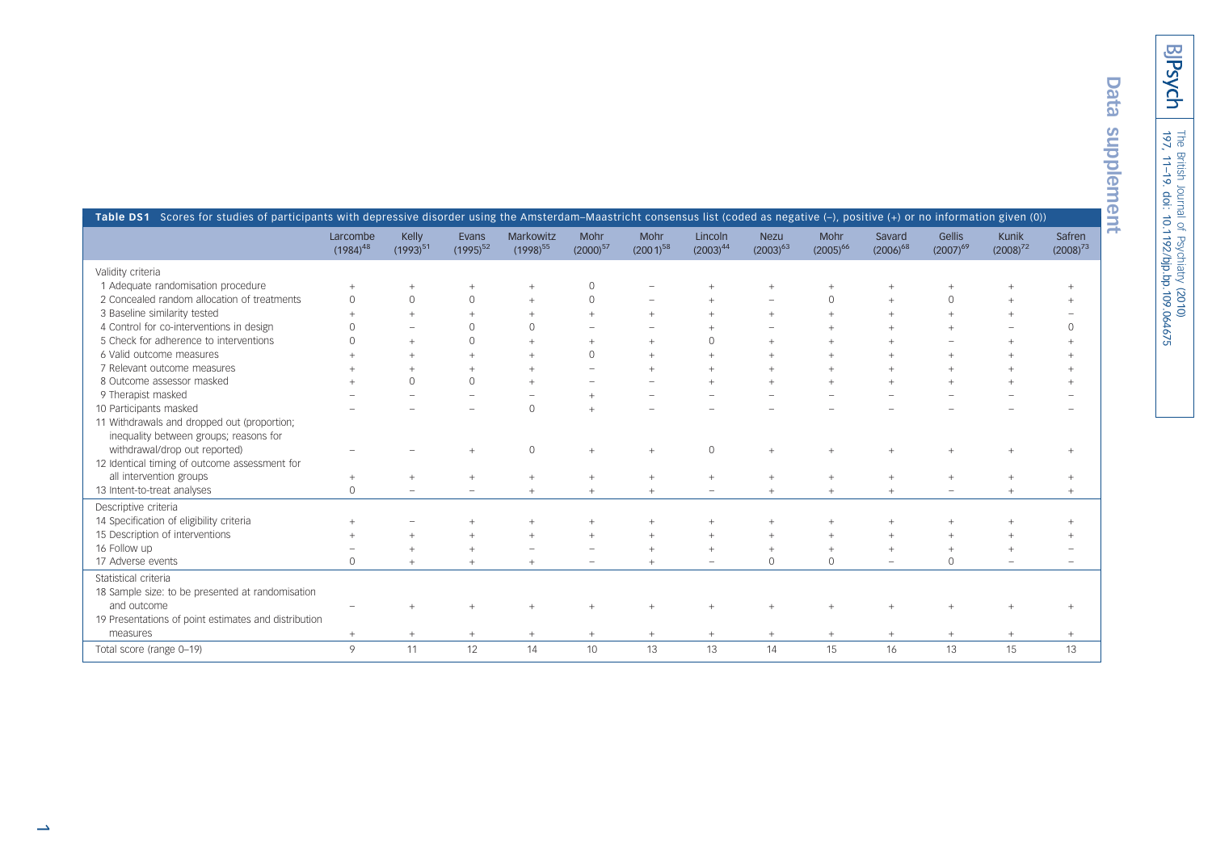BPsych

| t<br>í      |
|-------------|
| í.<br>ļ     |
| ŋ           |
|             |
|             |
| п<br>÷      |
|             |
| F           |
| ١           |
| ŕ<br>m<br>é |
|             |

| Table DS1 Scores for studies of participants with depressive disorder using the Amsterdam-Maastricht consensus list (coded as negative (-), positive (+) or no information given (0)) |                           |                        |                          |                            |                          |                       |                          |                              |                       |                         |                         |                        |                         |
|---------------------------------------------------------------------------------------------------------------------------------------------------------------------------------------|---------------------------|------------------------|--------------------------|----------------------------|--------------------------|-----------------------|--------------------------|------------------------------|-----------------------|-------------------------|-------------------------|------------------------|-------------------------|
|                                                                                                                                                                                       | Larcombe<br>$(1984)^{48}$ | Kelly<br>$(1993)^{51}$ | Evans<br>$(1995)^{52}$   | Markowitz<br>$(1998)^{55}$ | Mohr<br>$(2000)^{57}$    | Mohr<br>$(2001)^{58}$ | Lincoln<br>$(2003)^{44}$ | <b>Nezu</b><br>$(2003)^{63}$ | Mohr<br>$(2005)^{66}$ | Savard<br>$(2006)^{68}$ | Gellis<br>$(2007)^{69}$ | Kunik<br>$(2008)^{72}$ | Safren<br>$(2008)^{73}$ |
| Validity criteria                                                                                                                                                                     |                           |                        |                          |                            |                          |                       |                          |                              |                       |                         |                         |                        |                         |
| 1 Adequate randomisation procedure                                                                                                                                                    | $^{+}$                    | $^{+}$                 | $^{+}$                   | $^{+}$                     | $\circ$                  |                       | $^{+}$                   | $^{+}$                       | $^{+}$                | $\! +$                  | $+$                     |                        | $+$                     |
| 2 Concealed random allocation of treatments                                                                                                                                           | $\circ$                   | $\circ$                | $\circ$                  | $^{+}$                     | $\circ$                  |                       |                          |                              | $\mathbb O$           | $\overline{+}$          | $\mathsf{O}\xspace$     |                        | $+$                     |
| 3 Baseline similarity tested                                                                                                                                                          | $^{+}$                    |                        | $\overline{+}$           | $^{+}$                     | $^{+}$                   | $\overline{+}$        | $^{+}$                   | $^{+}$                       | $^{+}$                | $\! +$                  | $\ddot{}$               |                        |                         |
| 4 Control for co-interventions in design                                                                                                                                              | $\Omega$                  |                        | $\circ$                  | $\Omega$                   |                          |                       |                          |                              | $\ddot{}$             | $\pm$                   |                         |                        | $\circ$                 |
| 5 Check for adherence to interventions                                                                                                                                                | $\Omega$                  |                        | $\Omega$                 | $+$                        | $\overline{+}$           |                       | $\Omega$                 | $\ddot{}$                    | $\overline{+}$        |                         |                         |                        | $\overline{+}$          |
| 6 Valid outcome measures                                                                                                                                                              |                           |                        | $\overline{+}$           | $\overline{+}$             | $\Omega$                 |                       | $\pm$                    | $\ddot{}$                    | $\overline{+}$        |                         | $\ddot{}$               |                        | $\overline{+}$          |
| 7 Relevant outcome measures                                                                                                                                                           |                           |                        | $^{+}$                   | $+$                        |                          |                       |                          | $\ddot{}$                    |                       |                         |                         |                        | $\ddot{}$               |
| 8 Outcome assessor masked                                                                                                                                                             |                           | $\Omega$               | $\mathbf{0}$             | $+$                        |                          |                       | $\perp$                  | $\ddot{}$                    | $\overline{+}$        | $\perp$                 | $\overline{+}$          |                        | $\overline{+}$          |
| 9 Therapist masked                                                                                                                                                                    |                           |                        | ÷                        |                            |                          |                       |                          |                              |                       |                         |                         |                        |                         |
| 10 Participants masked                                                                                                                                                                |                           |                        |                          | $\circ$                    | $\ddot{}$                |                       |                          |                              |                       |                         |                         |                        |                         |
| 11 Withdrawals and dropped out (proportion;                                                                                                                                           |                           |                        |                          |                            |                          |                       |                          |                              |                       |                         |                         |                        |                         |
| inequality between groups; reasons for                                                                                                                                                |                           |                        |                          |                            |                          |                       |                          |                              |                       |                         |                         |                        |                         |
| withdrawal/drop out reported)                                                                                                                                                         |                           |                        |                          | $\mathsf O$                | $\ddot{}$                |                       | $\Omega$                 | $\ddot{}$                    | $\ddot{}$             |                         | $\ddot{}$               |                        | $\ddot{}$               |
| 12 Identical timing of outcome assessment for                                                                                                                                         |                           |                        |                          |                            |                          |                       |                          |                              |                       |                         |                         |                        |                         |
| all intervention groups                                                                                                                                                               | $^{+}$                    | $\ddot{}$              | $^{+}$                   | $^{+}$                     | $\! +$                   | $\overline{+}$        | $\! +$                   | $^{+}$                       | $^{+}$                | $\! +$                  | $\ddot{}$               | $^{+}$                 | $+$                     |
| 13 Intent-to-treat analyses                                                                                                                                                           | $\circ$                   |                        | $\overline{\phantom{m}}$ | $^{+}$                     | $\! +$                   | $\overline{+}$        | $\overline{\phantom{m}}$ | $^{+}$                       | $^{+}$                | $\! +$                  | $\equiv$                | $^{+}$                 | $+$                     |
| Descriptive criteria                                                                                                                                                                  |                           |                        |                          |                            |                          |                       |                          |                              |                       |                         |                         |                        |                         |
| 14 Specification of eligibility criteria                                                                                                                                              |                           |                        | $\ddot{}$                | $^{+}$                     | $\ddot{}$                | $\overline{+}$        | $\overline{+}$           | $+$                          | $\ddot{}$             | $+$                     | $\ddot{}$               |                        | $+$                     |
| 15 Description of interventions                                                                                                                                                       | $^{+}$                    |                        | $^{+}$                   | $^{+}$                     | $\ddot{}$                |                       | $+$                      | $^{+}$                       | $^{+}$                | $+$                     | $^{+}$                  |                        | $+$                     |
| 16 Follow up                                                                                                                                                                          |                           |                        | $\overline{+}$           |                            |                          |                       | $+$                      | $+$                          | $^{+}$                | $^{+}$                  | $^{+}$                  |                        |                         |
| 17 Adverse events                                                                                                                                                                     | $\circ$                   | $^{+}$                 | $^{+}$                   | $^{+}$                     | $\overline{\phantom{0}}$ | $\overline{+}$        |                          | $\circ$                      | $\circ$               | $\equiv$                | $\circ$                 |                        | $\sim$                  |
| Statistical criteria                                                                                                                                                                  |                           |                        |                          |                            |                          |                       |                          |                              |                       |                         |                         |                        |                         |
| 18 Sample size: to be presented at randomisation                                                                                                                                      |                           |                        |                          |                            |                          |                       |                          |                              |                       |                         |                         |                        |                         |
| and outcome                                                                                                                                                                           |                           |                        |                          |                            |                          |                       |                          | $^{+}$                       |                       |                         | $\ddot{}$               |                        | $+$                     |
| 19 Presentations of point estimates and distribution                                                                                                                                  |                           |                        |                          |                            |                          |                       |                          |                              |                       |                         |                         |                        |                         |
| measures                                                                                                                                                                              | $^{+}$                    | $+$                    | $+$                      | $\! + \!\!\!\!$            | $+$                      | $^{+}$                | $^{+}$                   | $\! + \!\!\!\!$              | $+$                   | $^{+}$                  | $\! + \!\!\!\!$         | $^{+}$                 | $+$                     |
| Total score (range 0-19)                                                                                                                                                              | 9                         | 11                     | 12                       | 14                         | 10                       | 13                    | 13                       | 14                           | 15                    | 16                      | 13                      | 15                     | 13                      |
|                                                                                                                                                                                       |                           |                        |                          |                            |                          |                       |                          |                              |                       |                         |                         |                        |                         |